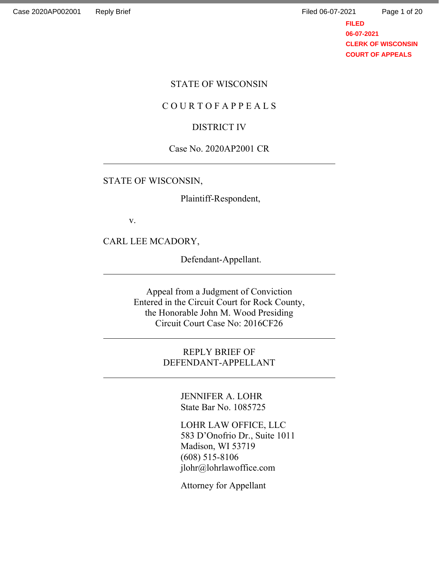Page 1 of 20

**FILED 06-07-2021 CLERK OF WISCONSIN COURT OF APPEALS**

#### STATE OF WISCONSIN

#### C O U R T O F A P P E A L S

#### DISTRICT IV

#### Case No. 2020AP2001 CR

#### STATE OF WISCONSIN,

Plaintiff-Respondent,

v.

l

l

CARL LEE MCADORY,

Defendant-Appellant.

Appeal from a Judgment of Conviction Entered in the Circuit Court for Rock County, the Honorable John M. Wood Presiding Circuit Court Case No: 2016CF26

> REPLY BRIEF OF DEFENDANT-APPELLANT

> > JENNIFER A. LOHR State Bar No. 1085725

LOHR LAW OFFICE, LLC 583 D'Onofrio Dr., Suite 1011 Madison, WI 53719 (608) 515-8106 jlohr@lohrlawoffice.com

Attorney for Appellant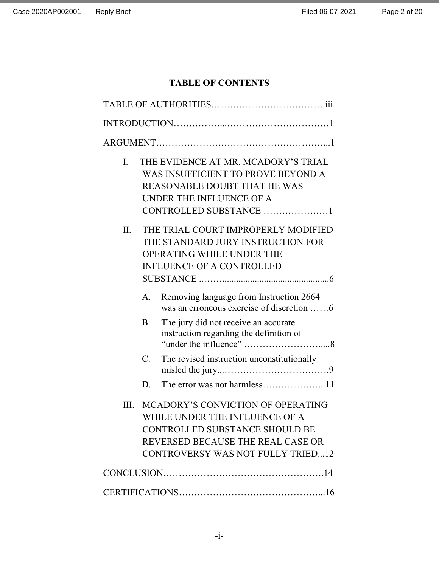## TABLE OF CONTENTS

| I.  | THE EVIDENCE AT MR. MCADORY'S TRIAL<br>WAS INSUFFICIENT TO PROVE BEYOND A<br><b>REASONABLE DOUBT THAT HE WAS</b><br>UNDER THE INFLUENCE OF A<br>CONTROLLED SUBSTANCE 1                        |  |  |  |
|-----|-----------------------------------------------------------------------------------------------------------------------------------------------------------------------------------------------|--|--|--|
| II. | THE TRIAL COURT IMPROPERLY MODIFIED<br>THE STANDARD JURY INSTRUCTION FOR<br>OPERATING WHILE UNDER THE<br><b>INFLUENCE OF A CONTROLLED</b>                                                     |  |  |  |
|     | Removing language from Instruction 2664<br>A.<br>was an erroneous exercise of discretion 6                                                                                                    |  |  |  |
|     | The jury did not receive an accurate<br><b>B.</b><br>instruction regarding the definition of                                                                                                  |  |  |  |
|     | The revised instruction unconstitutionally<br>$\mathbf{C}$ .                                                                                                                                  |  |  |  |
|     | D.                                                                                                                                                                                            |  |  |  |
| Ш.  | MCADORY'S CONVICTION OF OPERATING<br>WHILE UNDER THE INFLUENCE OF A<br><b>CONTROLLED SUBSTANCE SHOULD BE</b><br>REVERSED BECAUSE THE REAL CASE OR<br><b>CONTROVERSY WAS NOT FULLY TRIED12</b> |  |  |  |
|     |                                                                                                                                                                                               |  |  |  |
|     |                                                                                                                                                                                               |  |  |  |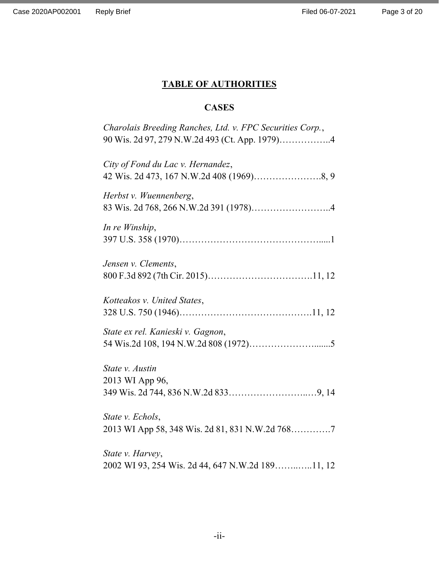# TABLE OF AUTHORITIES

# **CASES**

| Charolais Breeding Ranches, Ltd. v. FPC Securities Corp.,<br>90 Wis. 2d 97, 279 N.W.2d 493 (Ct. App. 1979)4 |
|-------------------------------------------------------------------------------------------------------------|
| City of Fond du Lac v. Hernandez,                                                                           |
| Herbst v. Wuennenberg,                                                                                      |
| In re Winship,                                                                                              |
| Jensen v. Clements,                                                                                         |
| Kotteakos v. United States,                                                                                 |
| State ex rel. Kanieski v. Gagnon,                                                                           |
| State v. Austin<br>2013 WI App 96,                                                                          |
| State v. Echols,<br>2013 WI App 58, 348 Wis. 2d 81, 831 N.W.2d 7687                                         |
| State v. Harvey,<br>2002 WI 93, 254 Wis. 2d 44, 647 N.W.2d 18911, 12                                        |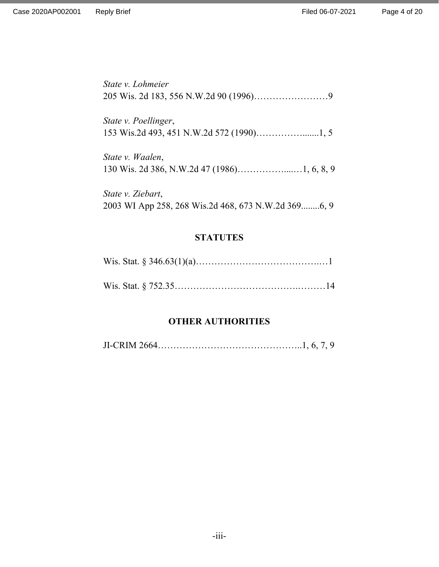State v. Lohmeier 205 Wis. 2d 183, 556 N.W.2d 90 (1996)……………………9

State v. Poellinger, 153 Wis.2d 493, 451 N.W.2d 572 (1990)…………….......1, 5

State v. Waalen, 130 Wis. 2d 386, N.W.2d 47 (1986)……………....…1, 6, 8, 9

State v. Ziebart, 2003 WI App 258, 268 Wis.2d 468, 673 N.W.2d 369........6, 9

### **STATUTES**

### OTHER AUTHORITIES

JI-CRIM 2664………………………………………..1, 6, 7, 9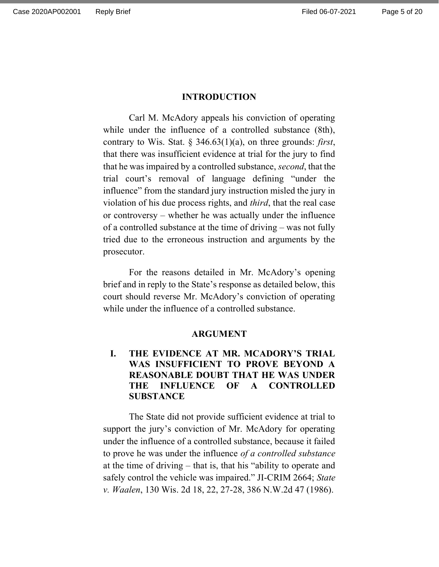#### INTRODUCTION

Carl M. McAdory appeals his conviction of operating while under the influence of a controlled substance (8th), contrary to Wis. Stat. § 346.63(1)(a), on three grounds: *first*, that there was insufficient evidence at trial for the jury to find that he was impaired by a controlled substance, second, that the trial court's removal of language defining "under the influence" from the standard jury instruction misled the jury in violation of his due process rights, and third, that the real case or controversy – whether he was actually under the influence of a controlled substance at the time of driving – was not fully tried due to the erroneous instruction and arguments by the prosecutor.

 For the reasons detailed in Mr. McAdory's opening brief and in reply to the State's response as detailed below, this court should reverse Mr. McAdory's conviction of operating while under the influence of a controlled substance.

#### ARGUMENT

### I. THE EVIDENCE AT MR. MCADORY'S TRIAL WAS INSUFFICIENT TO PROVE BEYOND A REASONABLE DOUBT THAT HE WAS UNDER THE INFLUENCE OF A CONTROLLED **SUBSTANCE**

The State did not provide sufficient evidence at trial to support the jury's conviction of Mr. McAdory for operating under the influence of a controlled substance, because it failed to prove he was under the influence of a controlled substance at the time of driving – that is, that his "ability to operate and safely control the vehicle was impaired." JI-CRIM 2664; State v. Waalen, 130 Wis. 2d 18, 22, 27-28, 386 N.W.2d 47 (1986).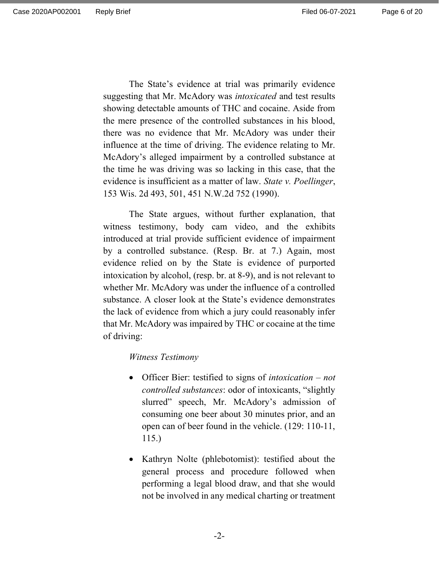Page 6 of 20

The State's evidence at trial was primarily evidence suggesting that Mr. McAdory was *intoxicated* and test results showing detectable amounts of THC and cocaine. Aside from the mere presence of the controlled substances in his blood, there was no evidence that Mr. McAdory was under their influence at the time of driving. The evidence relating to Mr. McAdory's alleged impairment by a controlled substance at the time he was driving was so lacking in this case, that the evidence is insufficient as a matter of law. State v. Poellinger, 153 Wis. 2d 493, 501, 451 N.W.2d 752 (1990).

The State argues, without further explanation, that witness testimony, body cam video, and the exhibits introduced at trial provide sufficient evidence of impairment by a controlled substance. (Resp. Br. at 7.) Again, most evidence relied on by the State is evidence of purported intoxication by alcohol, (resp. br. at 8-9), and is not relevant to whether Mr. McAdory was under the influence of a controlled substance. A closer look at the State's evidence demonstrates the lack of evidence from which a jury could reasonably infer that Mr. McAdory was impaired by THC or cocaine at the time of driving:

#### Witness Testimony

- Officer Bier: testified to signs of *intoxication not* controlled substances: odor of intoxicants, "slightly slurred" speech, Mr. McAdory's admission of consuming one beer about 30 minutes prior, and an open can of beer found in the vehicle. (129: 110-11, 115.)
- Kathryn Nolte (phlebotomist): testified about the general process and procedure followed when performing a legal blood draw, and that she would not be involved in any medical charting or treatment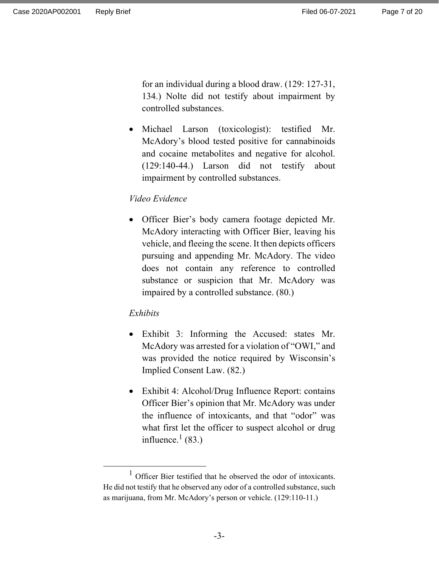for an individual during a blood draw. (129: 127-31, 134.) Nolte did not testify about impairment by controlled substances.

• Michael Larson (toxicologist): testified Mr. McAdory's blood tested positive for cannabinoids and cocaine metabolites and negative for alcohol. (129:140-44.) Larson did not testify about impairment by controlled substances.

### Video Evidence

 Officer Bier's body camera footage depicted Mr. McAdory interacting with Officer Bier, leaving his vehicle, and fleeing the scene. It then depicts officers pursuing and appending Mr. McAdory. The video does not contain any reference to controlled substance or suspicion that Mr. McAdory was impaired by a controlled substance. (80.)

### Exhibits

- Exhibit 3: Informing the Accused: states Mr. McAdory was arrested for a violation of "OWI," and was provided the notice required by Wisconsin's Implied Consent Law. (82.)
- Exhibit 4: Alcohol/Drug Influence Report: contains Officer Bier's opinion that Mr. McAdory was under the influence of intoxicants, and that "odor" was what first let the officer to suspect alcohol or drug influence. $^{1}$  (83.)

<sup>1</sup> Officer Bier testified that he observed the odor of intoxicants. He did not testify that he observed any odor of a controlled substance, such as marijuana, from Mr. McAdory's person or vehicle. (129:110-11.)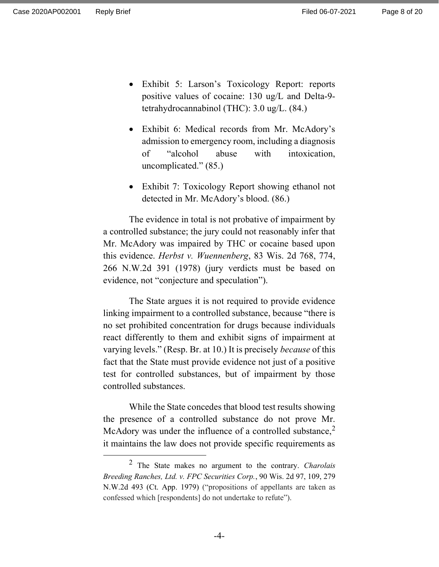- Exhibit 5: Larson's Toxicology Report: reports positive values of cocaine: 130 ug/L and Delta-9 tetrahydrocannabinol (THC): 3.0 ug/L. (84.)
- Exhibit 6: Medical records from Mr. McAdory's admission to emergency room, including a diagnosis of "alcohol abuse with intoxication, uncomplicated." (85.)
- Exhibit 7: Toxicology Report showing ethanol not detected in Mr. McAdory's blood. (86.)

The evidence in total is not probative of impairment by a controlled substance; the jury could not reasonably infer that Mr. McAdory was impaired by THC or cocaine based upon this evidence. Herbst v. Wuennenberg, 83 Wis. 2d 768, 774, 266 N.W.2d 391 (1978) (jury verdicts must be based on evidence, not "conjecture and speculation").

The State argues it is not required to provide evidence linking impairment to a controlled substance, because "there is no set prohibited concentration for drugs because individuals react differently to them and exhibit signs of impairment at varying levels." (Resp. Br. at 10.) It is precisely because of this fact that the State must provide evidence not just of a positive test for controlled substances, but of impairment by those controlled substances.

While the State concedes that blood test results showing the presence of a controlled substance do not prove Mr. McAdory was under the influence of a controlled substance,  $2^2$ it maintains the law does not provide specific requirements as

 $2$  The State makes no argument to the contrary. *Charolais* Breeding Ranches, Ltd. v. FPC Securities Corp., 90 Wis. 2d 97, 109, 279 N.W.2d 493 (Ct. App. 1979) ("propositions of appellants are taken as confessed which [respondents] do not undertake to refute").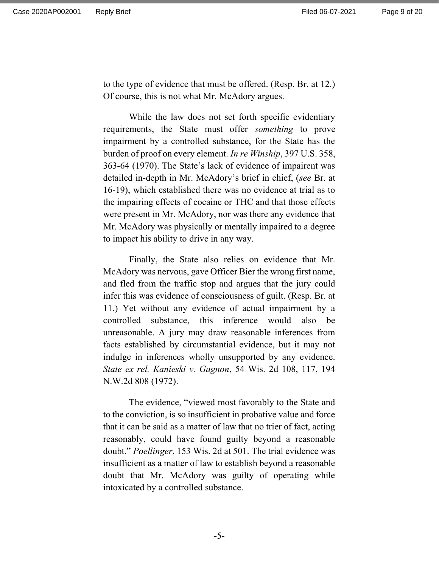to the type of evidence that must be offered. (Resp. Br. at 12.) Of course, this is not what Mr. McAdory argues.

While the law does not set forth specific evidentiary requirements, the State must offer something to prove impairment by a controlled substance, for the State has the burden of proof on every element. *In re Winship*, 397 U.S. 358, 363-64 (1970). The State's lack of evidence of impairent was detailed in-depth in Mr. McAdory's brief in chief, (see Br. at 16-19), which established there was no evidence at trial as to the impairing effects of cocaine or THC and that those effects were present in Mr. McAdory, nor was there any evidence that Mr. McAdory was physically or mentally impaired to a degree to impact his ability to drive in any way.

Finally, the State also relies on evidence that Mr. McAdory was nervous, gave Officer Bier the wrong first name, and fled from the traffic stop and argues that the jury could infer this was evidence of consciousness of guilt. (Resp. Br. at 11.) Yet without any evidence of actual impairment by a controlled substance, this inference would also be unreasonable. A jury may draw reasonable inferences from facts established by circumstantial evidence, but it may not indulge in inferences wholly unsupported by any evidence. State ex rel. Kanieski v. Gagnon, 54 Wis. 2d 108, 117, 194 N.W.2d 808 (1972).

The evidence, "viewed most favorably to the State and to the conviction, is so insufficient in probative value and force that it can be said as a matter of law that no trier of fact, acting reasonably, could have found guilty beyond a reasonable doubt." Poellinger, 153 Wis. 2d at 501. The trial evidence was insufficient as a matter of law to establish beyond a reasonable doubt that Mr. McAdory was guilty of operating while intoxicated by a controlled substance.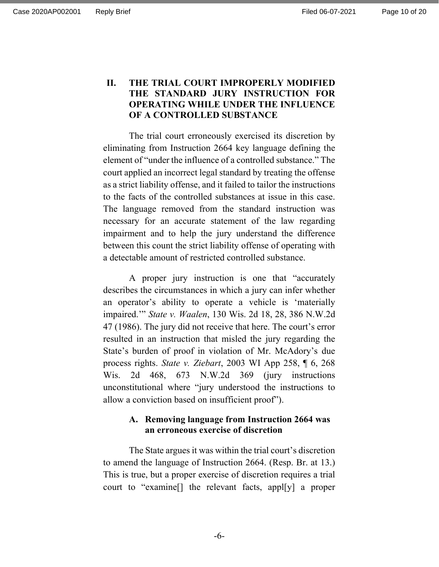### II. THE TRIAL COURT IMPROPERLY MODIFIED THE STANDARD JURY INSTRUCTION FOR OPERATING WHILE UNDER THE INFLUENCE OF A CONTROLLED SUBSTANCE

The trial court erroneously exercised its discretion by eliminating from Instruction 2664 key language defining the element of "under the influence of a controlled substance." The court applied an incorrect legal standard by treating the offense as a strict liability offense, and it failed to tailor the instructions to the facts of the controlled substances at issue in this case. The language removed from the standard instruction was necessary for an accurate statement of the law regarding impairment and to help the jury understand the difference between this count the strict liability offense of operating with a detectable amount of restricted controlled substance.

A proper jury instruction is one that "accurately describes the circumstances in which a jury can infer whether an operator's ability to operate a vehicle is 'materially impaired.'" State v. Waalen, 130 Wis. 2d 18, 28, 386 N.W.2d 47 (1986). The jury did not receive that here. The court's error resulted in an instruction that misled the jury regarding the State's burden of proof in violation of Mr. McAdory's due process rights. State v. Ziebart, 2003 WI App 258, ¶ 6, 268 Wis. 2d 468, 673 N.W.2d 369 (jury instructions unconstitutional where "jury understood the instructions to allow a conviction based on insufficient proof").

### A. Removing language from Instruction 2664 was an erroneous exercise of discretion

The State argues it was within the trial court's discretion to amend the language of Instruction 2664. (Resp. Br. at 13.) This is true, but a proper exercise of discretion requires a trial court to "examine[] the relevant facts, appl[y] a proper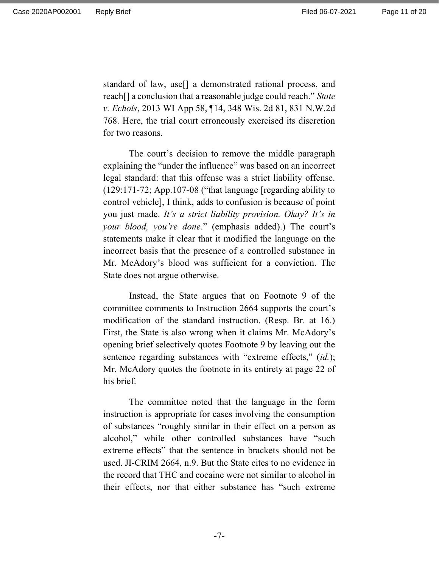standard of law, use[] a demonstrated rational process, and reach<sup>[]</sup> a conclusion that a reasonable judge could reach." State v. Echols, 2013 WI App 58, ¶14, 348 Wis. 2d 81, 831 N.W.2d 768. Here, the trial court erroneously exercised its discretion for two reasons.

The court's decision to remove the middle paragraph explaining the "under the influence" was based on an incorrect legal standard: that this offense was a strict liability offense. (129:171-72; App.107-08 ("that language [regarding ability to control vehicle], I think, adds to confusion is because of point you just made. It's a strict liability provision. Okay? It's in your blood, you're done." (emphasis added).) The court's statements make it clear that it modified the language on the incorrect basis that the presence of a controlled substance in Mr. McAdory's blood was sufficient for a conviction. The State does not argue otherwise.

Instead, the State argues that on Footnote 9 of the committee comments to Instruction 2664 supports the court's modification of the standard instruction. (Resp. Br. at 16.) First, the State is also wrong when it claims Mr. McAdory's opening brief selectively quotes Footnote 9 by leaving out the sentence regarding substances with "extreme effects," (id.); Mr. McAdory quotes the footnote in its entirety at page 22 of his brief.

The committee noted that the language in the form instruction is appropriate for cases involving the consumption of substances "roughly similar in their effect on a person as alcohol," while other controlled substances have "such extreme effects" that the sentence in brackets should not be used. JI-CRIM 2664, n.9. But the State cites to no evidence in the record that THC and cocaine were not similar to alcohol in their effects, nor that either substance has "such extreme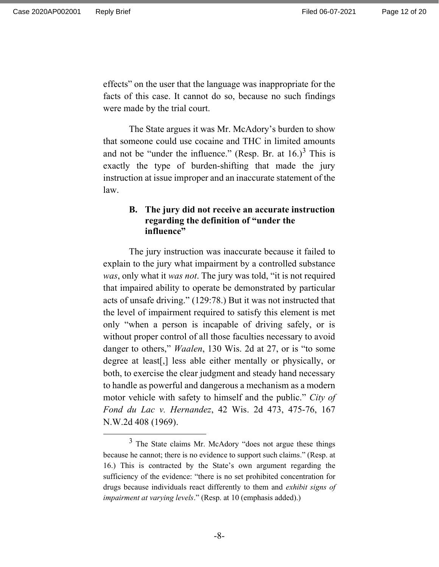effects" on the user that the language was inappropriate for the facts of this case. It cannot do so, because no such findings were made by the trial court.

The State argues it was Mr. McAdory's burden to show that someone could use cocaine and THC in limited amounts and not be "under the influence." (Resp. Br. at  $16.$ )<sup>3</sup> This is exactly the type of burden-shifting that made the jury instruction at issue improper and an inaccurate statement of the law.

### B. The jury did not receive an accurate instruction regarding the definition of "under the influence"

The jury instruction was inaccurate because it failed to explain to the jury what impairment by a controlled substance was, only what it was not. The jury was told, "it is not required that impaired ability to operate be demonstrated by particular acts of unsafe driving." (129:78.) But it was not instructed that the level of impairment required to satisfy this element is met only "when a person is incapable of driving safely, or is without proper control of all those faculties necessary to avoid danger to others," *Waalen*, 130 Wis. 2d at 27, or is "to some degree at least[,] less able either mentally or physically, or both, to exercise the clear judgment and steady hand necessary to handle as powerful and dangerous a mechanism as a modern motor vehicle with safety to himself and the public." City of Fond du Lac v. Hernandez, 42 Wis. 2d 473, 475-76, 167 N.W.2d 408 (1969).

 $3$  The State claims Mr. McAdory "does not argue these things because he cannot; there is no evidence to support such claims." (Resp. at 16.) This is contracted by the State's own argument regarding the sufficiency of the evidence: "there is no set prohibited concentration for drugs because individuals react differently to them and exhibit signs of impairment at varying levels." (Resp. at 10 (emphasis added).)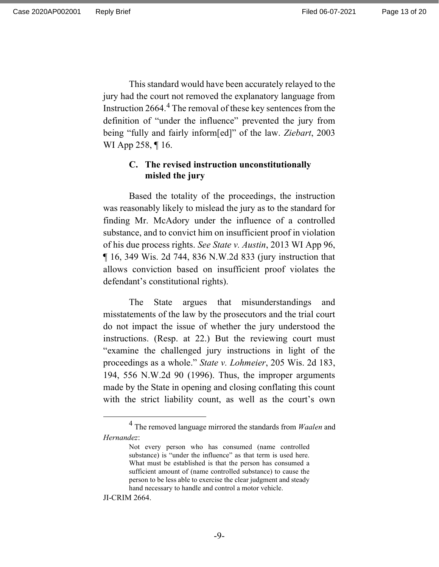This standard would have been accurately relayed to the jury had the court not removed the explanatory language from Instruction 2664.<sup>4</sup> The removal of these key sentences from the definition of "under the influence" prevented the jury from being "fully and fairly inform[ed]" of the law. Ziebart, 2003 WI App 258, ¶16.

### C. The revised instruction unconstitutionally misled the jury

Based the totality of the proceedings, the instruction was reasonably likely to mislead the jury as to the standard for finding Mr. McAdory under the influence of a controlled substance, and to convict him on insufficient proof in violation of his due process rights. See State v. Austin, 2013 WI App 96, ¶ 16, 349 Wis. 2d 744, 836 N.W.2d 833 (jury instruction that allows conviction based on insufficient proof violates the defendant's constitutional rights).

The State argues that misunderstandings and misstatements of the law by the prosecutors and the trial court do not impact the issue of whether the jury understood the instructions. (Resp. at 22.) But the reviewing court must "examine the challenged jury instructions in light of the proceedings as a whole." State v. Lohmeier, 205 Wis. 2d 183, 194, 556 N.W.2d 90 (1996). Thus, the improper arguments made by the State in opening and closing conflating this count with the strict liability count, as well as the court's own

JI-CRIM 2664.

 $4$  The removed language mirrored the standards from *Waalen* and Hernandez:

Not every person who has consumed (name controlled substance) is "under the influence" as that term is used here. What must be established is that the person has consumed a sufficient amount of (name controlled substance) to cause the person to be less able to exercise the clear judgment and steady hand necessary to handle and control a motor vehicle.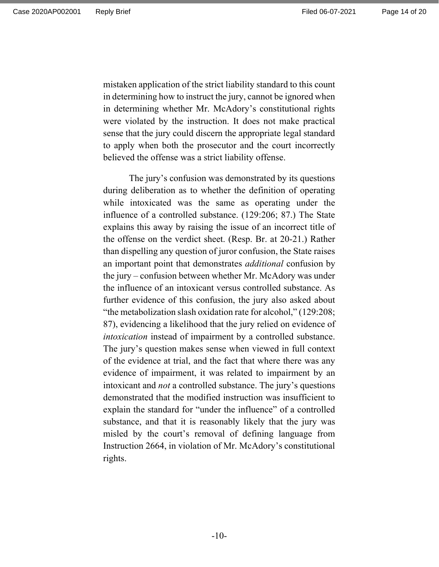mistaken application of the strict liability standard to this count in determining how to instruct the jury, cannot be ignored when in determining whether Mr. McAdory's constitutional rights were violated by the instruction. It does not make practical sense that the jury could discern the appropriate legal standard to apply when both the prosecutor and the court incorrectly believed the offense was a strict liability offense.

The jury's confusion was demonstrated by its questions during deliberation as to whether the definition of operating while intoxicated was the same as operating under the influence of a controlled substance. (129:206; 87.) The State explains this away by raising the issue of an incorrect title of the offense on the verdict sheet. (Resp. Br. at 20-21.) Rather than dispelling any question of juror confusion, the State raises an important point that demonstrates *additional* confusion by the jury – confusion between whether Mr. McAdory was under the influence of an intoxicant versus controlled substance. As further evidence of this confusion, the jury also asked about "the metabolization slash oxidation rate for alcohol," (129:208; 87), evidencing a likelihood that the jury relied on evidence of intoxication instead of impairment by a controlled substance. The jury's question makes sense when viewed in full context of the evidence at trial, and the fact that where there was any evidence of impairment, it was related to impairment by an intoxicant and not a controlled substance. The jury's questions demonstrated that the modified instruction was insufficient to explain the standard for "under the influence" of a controlled substance, and that it is reasonably likely that the jury was misled by the court's removal of defining language from Instruction 2664, in violation of Mr. McAdory's constitutional rights.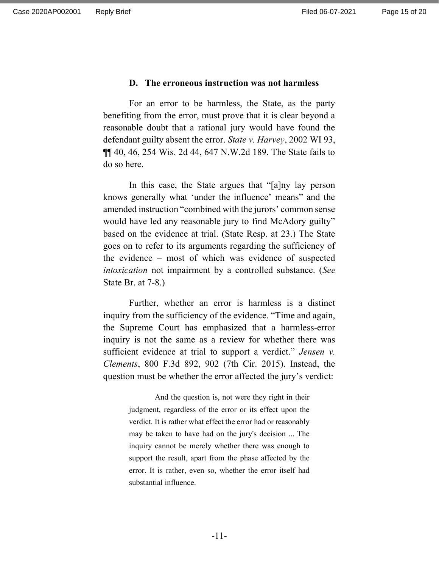#### D. The erroneous instruction was not harmless

For an error to be harmless, the State, as the party benefiting from the error, must prove that it is clear beyond a reasonable doubt that a rational jury would have found the defendant guilty absent the error. State v. Harvey, 2002 WI 93, ¶¶ 40, 46, 254 Wis. 2d 44, 647 N.W.2d 189. The State fails to do so here.

In this case, the State argues that "[a]ny lay person knows generally what 'under the influence' means" and the amended instruction "combined with the jurors' common sense would have led any reasonable jury to find McAdory guilty" based on the evidence at trial. (State Resp. at 23.) The State goes on to refer to its arguments regarding the sufficiency of the evidence – most of which was evidence of suspected intoxication not impairment by a controlled substance. (See State Br. at 7-8.)

Further, whether an error is harmless is a distinct inquiry from the sufficiency of the evidence. "Time and again, the Supreme Court has emphasized that a harmless-error inquiry is not the same as a review for whether there was sufficient evidence at trial to support a verdict." Jensen v. Clements, 800 F.3d 892, 902 (7th Cir. 2015). Instead, the question must be whether the error affected the jury's verdict:

> And the question is, not were they right in their judgment, regardless of the error or its effect upon the verdict. It is rather what effect the error had or reasonably may be taken to have had on the jury's decision ... The inquiry cannot be merely whether there was enough to support the result, apart from the phase affected by the error. It is rather, even so, whether the error itself had substantial influence.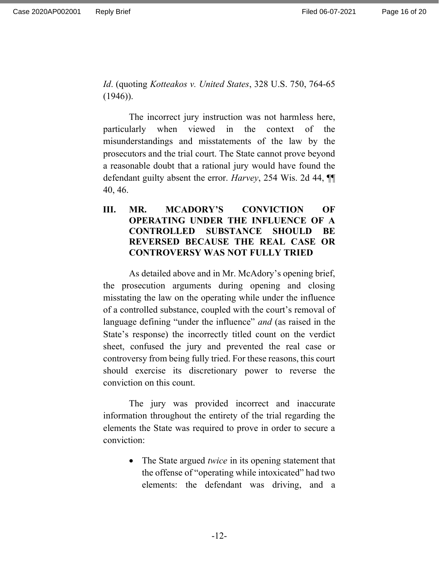Id. (quoting Kotteakos v. United States, 328 U.S. 750, 764-65  $(1946)$ ).

The incorrect jury instruction was not harmless here, particularly when viewed in the context of the misunderstandings and misstatements of the law by the prosecutors and the trial court. The State cannot prove beyond a reasonable doubt that a rational jury would have found the defendant guilty absent the error. Harvey, 254 Wis. 2d 44,  $\P$ 40, 46.

III. MR. MCADORY'S CONVICTION OF OPERATING UNDER THE INFLUENCE OF A CONTROLLED SUBSTANCE SHOULD BE REVERSED BECAUSE THE REAL CASE OR CONTROVERSY WAS NOT FULLY TRIED

As detailed above and in Mr. McAdory's opening brief, the prosecution arguments during opening and closing misstating the law on the operating while under the influence of a controlled substance, coupled with the court's removal of language defining "under the influence" *and* (as raised in the State's response) the incorrectly titled count on the verdict sheet, confused the jury and prevented the real case or controversy from being fully tried. For these reasons, this court should exercise its discretionary power to reverse the conviction on this count.

The jury was provided incorrect and inaccurate information throughout the entirety of the trial regarding the elements the State was required to prove in order to secure a conviction:

> • The State argued *twice* in its opening statement that the offense of "operating while intoxicated" had two elements: the defendant was driving, and a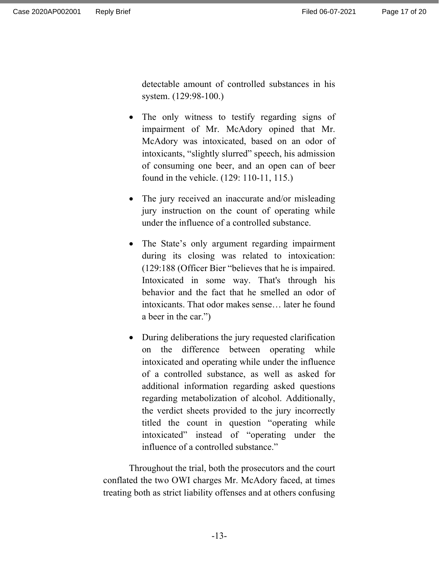detectable amount of controlled substances in his system. (129:98-100.)

- The only witness to testify regarding signs of impairment of Mr. McAdory opined that Mr. McAdory was intoxicated, based on an odor of intoxicants, "slightly slurred" speech, his admission of consuming one beer, and an open can of beer found in the vehicle. (129: 110-11, 115.)
- The jury received an inaccurate and/or misleading jury instruction on the count of operating while under the influence of a controlled substance.
- The State's only argument regarding impairment during its closing was related to intoxication: (129:188 (Officer Bier "believes that he is impaired. Intoxicated in some way. That's through his behavior and the fact that he smelled an odor of intoxicants. That odor makes sense… later he found a beer in the car.")
- During deliberations the jury requested clarification on the difference between operating while intoxicated and operating while under the influence of a controlled substance, as well as asked for additional information regarding asked questions regarding metabolization of alcohol. Additionally, the verdict sheets provided to the jury incorrectly titled the count in question "operating while intoxicated" instead of "operating under the influence of a controlled substance."

Throughout the trial, both the prosecutors and the court conflated the two OWI charges Mr. McAdory faced, at times treating both as strict liability offenses and at others confusing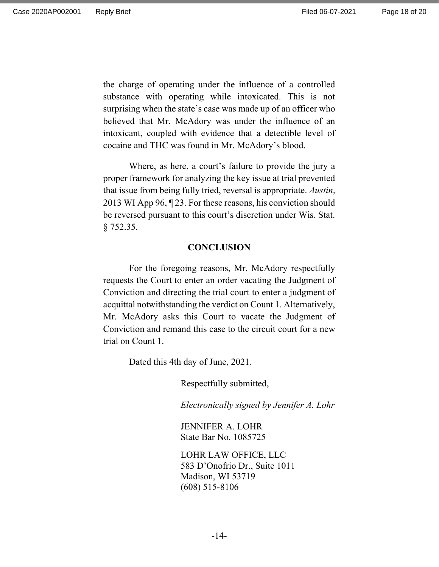the charge of operating under the influence of a controlled substance with operating while intoxicated. This is not surprising when the state's case was made up of an officer who believed that Mr. McAdory was under the influence of an intoxicant, coupled with evidence that a detectible level of cocaine and THC was found in Mr. McAdory's blood.

Where, as here, a court's failure to provide the jury a proper framework for analyzing the key issue at trial prevented that issue from being fully tried, reversal is appropriate. Austin, 2013 WI App 96, ¶ 23. For these reasons, his conviction should be reversed pursuant to this court's discretion under Wis. Stat. § 752.35.

#### **CONCLUSION**

For the foregoing reasons, Mr. McAdory respectfully requests the Court to enter an order vacating the Judgment of Conviction and directing the trial court to enter a judgment of acquittal notwithstanding the verdict on Count 1. Alternatively, Mr. McAdory asks this Court to vacate the Judgment of Conviction and remand this case to the circuit court for a new trial on Count 1.

Dated this 4th day of June, 2021.

Respectfully submitted,

Electronically signed by Jennifer A. Lohr

JENNIFER A. LOHR State Bar No. 1085725

LOHR LAW OFFICE, LLC 583 D'Onofrio Dr., Suite 1011 Madison, WI 53719 (608) 515-8106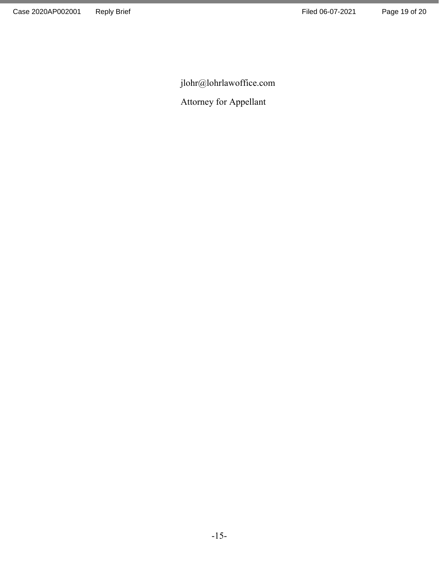jlohr@lohrlawoffice.com

Attorney for Appellant